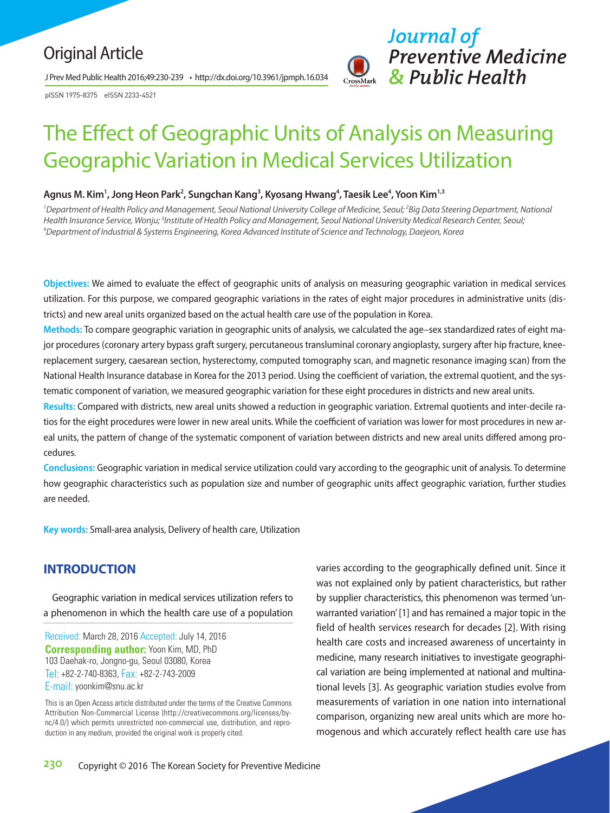# Original Article

J Prev Med Public Health 2016;49:230-239 • http://dx.doi.org/10.3961/jpmph.16.034

pISSN 1975-8375 eISSN 2233-4521



# The Effect of Geographic Units of Analysis on Measuring Geographic Variation in Medical Services Utilization

#### **Agnus M. Kim1 , Jong Heon Park2 , Sungchan Kang3 , Kyosang Hwang4 , Taesik Lee4 , Yoon Kim1,3**

<sup>1</sup>Department of Health Policy and Management, Seoul National University College of Medicine, Seoul; <sup>2</sup>Big Data Steering Department, National Health Insurance Service, Wonju; <sup>3</sup>Institute of Health Policy and Management, Seoul National University Medical Research Center, Seoul;<br><sup>4</sup>Denartment of Industrial & Systems Engineering, Korea Advanced Institute of Scienc *Department of Industrial & Systems Engineering, Korea Advanced Institute of Science and Technology, Daejeon, Korea*

**Objectives:** We aimed to evaluate the effect of geographic units of analysis on measuring geographic variation in medical services utilization. For this purpose, we compared geographic variations in the rates of eight major procedures in administrative units (districts) and new areal units organized based on the actual health care use of the population in Korea.

**Methods:** To compare geographic variation in geographic units of analysis, we calculated the age–sex standardized rates of eight major procedures (coronary artery bypass graft surgery, percutaneous transluminal coronary angioplasty, surgery after hip fracture, kneereplacement surgery, caesarean section, hysterectomy, computed tomography scan, and magnetic resonance imaging scan) from the National Health Insurance database in Korea for the 2013 period. Using the coefficient of variation, the extremal quotient, and the systematic component of variation, we measured geographic variation for these eight procedures in districts and new areal units.

**Results:** Compared with districts, new areal units showed a reduction in geographic variation. Extremal quotients and inter-decile ratios for the eight procedures were lower in new areal units. While the coefficient of variation was lower for most procedures in new areal units, the pattern of change of the systematic component of variation between districts and new areal units differed among procedures.

**Conclusions:** Geographic variation in medical service utilization could vary according to the geographic unit of analysis. To determine how geographic characteristics such as population size and number of geographic units affect geographic variation, further studies are needed.

**Key words:** Small-area analysis, Delivery of health care, Utilization

# **INTRODUCTION**

Geographic variation in medical services utilization refers to a phenomenon in which the health care use of a population

Received: March 28, 2016 Accepted: July 14, 2016 **Corresponding author:** Yoon Kim, MD, PhD 103 Daehak-ro, Jongno-gu, Seoul 03080, Korea Tel: +82-2-740-8363, Fax: +82-2-743-2009 E-mail: yoonkim@snu.ac.kr

This is an Open Access article distributed under the terms of the Creative Commons Attribution Non-Commercial License (http://creativecommons.org/licenses/bync/4.0/) which permits unrestricted non-commercial use, distribution, and reproduction in any medium, provided the original work is properly cited.

varies according to the geographically defined unit. Since it was not explained only by patient characteristics, but rather by supplier characteristics, this phenomenon was termed 'unwarranted variation' [1] and has remained a major topic in the field of health services research for decades [2]. With rising health care costs and increased awareness of uncertainty in medicine, many research initiatives to investigate geographical variation are being implemented at national and multinational levels [3]. As geographic variation studies evolve from measurements of variation in one nation into international comparison, organizing new areal units which are more homogenous and which accurately reflect health care use has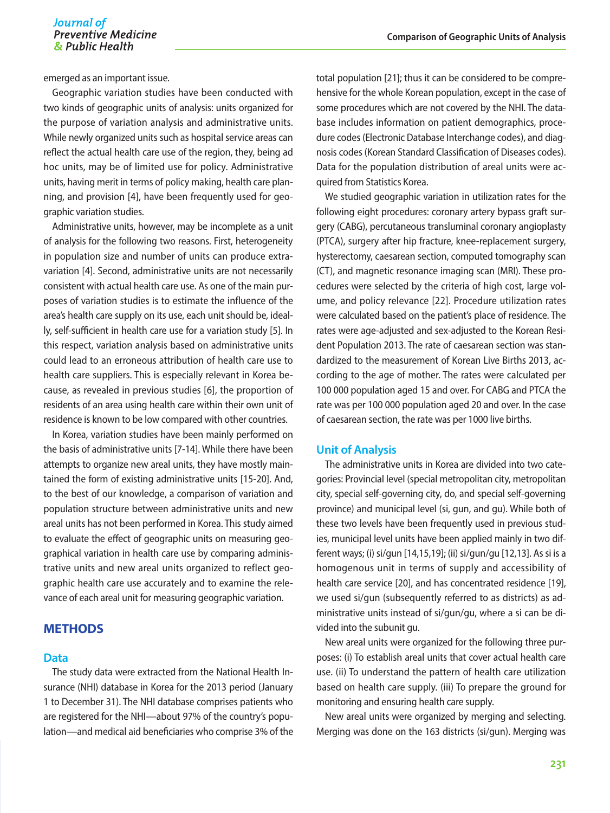# Journal of Preventive Medicine<br> *References*<br> *References*<br> *References*<br> *References*<br> *References*

emerged as an important issue.

Geographic variation studies have been conducted with two kinds of geographic units of analysis: units organized for the purpose of variation analysis and administrative units. While newly organized units such as hospital service areas can reflect the actual health care use of the region, they, being ad hoc units, may be of limited use for policy. Administrative units, having merit in terms of policy making, health care planning, and provision [4], have been frequently used for geographic variation studies.

Administrative units, however, may be incomplete as a unit of analysis for the following two reasons. First, heterogeneity in population size and number of units can produce extravariation [4]. Second, administrative units are not necessarily consistent with actual health care use. As one of the main purposes of variation studies is to estimate the influence of the area's health care supply on its use, each unit should be, ideally, self-sufficient in health care use for a variation study [5]. In this respect, variation analysis based on administrative units could lead to an erroneous attribution of health care use to health care suppliers. This is especially relevant in Korea because, as revealed in previous studies [6], the proportion of residents of an area using health care within their own unit of residence is known to be low compared with other countries.

In Korea, variation studies have been mainly performed on the basis of administrative units [7-14]. While there have been attempts to organize new areal units, they have mostly maintained the form of existing administrative units [15-20]. And, to the best of our knowledge, a comparison of variation and population structure between administrative units and new areal units has not been performed in Korea. This study aimed to evaluate the effect of geographic units on measuring geographical variation in health care use by comparing administrative units and new areal units organized to reflect geographic health care use accurately and to examine the relevance of each areal unit for measuring geographic variation.

# **METHODS**

#### **Data**

The study data were extracted from the National Health Insurance (NHI) database in Korea for the 2013 period (January 1 to December 31). The NHI database comprises patients who are registered for the NHI—about 97% of the country's population—and medical aid beneficiaries who comprise 3% of the

total population [21]; thus it can be considered to be comprehensive for the whole Korean population, except in the case of some procedures which are not covered by the NHI. The database includes information on patient demographics, procedure codes (Electronic Database Interchange codes), and diagnosis codes (Korean Standard Classification of Diseases codes). Data for the population distribution of areal units were acquired from Statistics Korea.

We studied geographic variation in utilization rates for the following eight procedures: coronary artery bypass graft surgery (CABG), percutaneous transluminal coronary angioplasty (PTCA), surgery after hip fracture, knee-replacement surgery, hysterectomy, caesarean section, computed tomography scan (CT), and magnetic resonance imaging scan (MRI). These procedures were selected by the criteria of high cost, large volume, and policy relevance [22]. Procedure utilization rates were calculated based on the patient's place of residence. The rates were age-adjusted and sex-adjusted to the Korean Resident Population 2013. The rate of caesarean section was standardized to the measurement of Korean Live Births 2013, according to the age of mother. The rates were calculated per 100 000 population aged 15 and over. For CABG and PTCA the rate was per 100 000 population aged 20 and over. In the case of caesarean section, the rate was per 1000 live births.

#### **Unit of Analysis**

The administrative units in Korea are divided into two categories: Provincial level (special metropolitan city, metropolitan city, special self-governing city, do, and special self-governing province) and municipal level (si, gun, and gu). While both of these two levels have been frequently used in previous studies, municipal level units have been applied mainly in two different ways; (i) si/gun [14,15,19]; (ii) si/gun/gu [12,13]. As si is a homogenous unit in terms of supply and accessibility of health care service [20], and has concentrated residence [19], we used si/gun (subsequently referred to as districts) as administrative units instead of si/gun/gu, where a si can be divided into the subunit gu.

New areal units were organized for the following three purposes: (i) To establish areal units that cover actual health care use. (ii) To understand the pattern of health care utilization based on health care supply. (iii) To prepare the ground for monitoring and ensuring health care supply.

New areal units were organized by merging and selecting. Merging was done on the 163 districts (si/gun). Merging was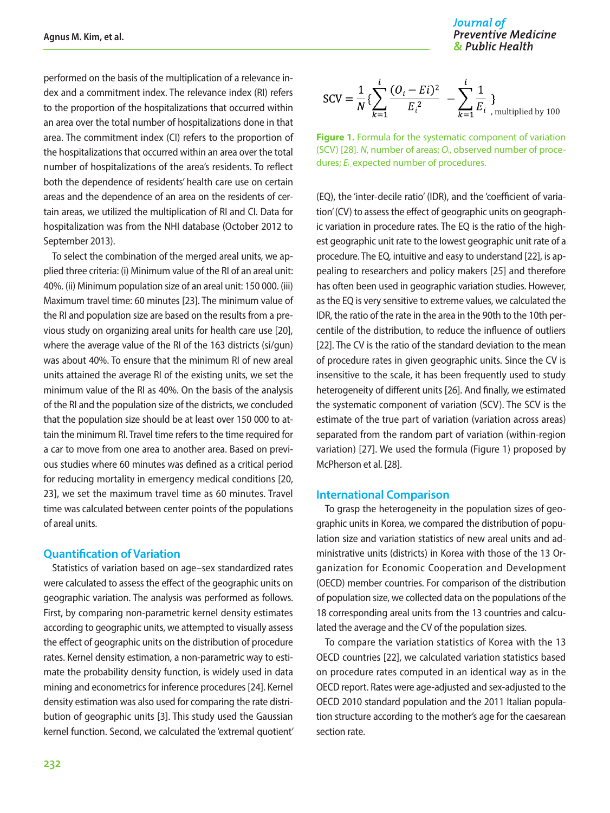performed on the basis of the multiplication of a relevance index and a commitment index. The relevance index (RI) refers to the proportion of the hospitalizations that occurred within an area over the total number of hospitalizations done in that area. The commitment index (CI) refers to the proportion of the hospitalizations that occurred within an area over the total number of hospitalizations of the area's residents. To reflect both the dependence of residents' health care use on certain areas and the dependence of an area on the residents of certain areas, we utilized the multiplication of RI and CI. Data for hospitalization was from the NHI database (October 2012 to September 2013).

To select the combination of the merged areal units, we applied three criteria: (i) Minimum value of the RI of an areal unit: 40%. (ii) Minimum population size of an areal unit: 150 000. (iii) Maximum travel time: 60 minutes [23]. The minimum value of the RI and population size are based on the results from a previous study on organizing areal units for health care use [20], where the average value of the RI of the 163 districts (si/gun) was about 40%. To ensure that the minimum RI of new areal units attained the average RI of the existing units, we set the minimum value of the RI as 40%. On the basis of the analysis of the RI and the population size of the districts, we concluded that the population size should be at least over 150 000 to attain the minimum RI. Travel time refers to the time required for a car to move from one area to another area. Based on previous studies where 60 minutes was defined as a critical period for reducing mortality in emergency medical conditions [20, 23], we set the maximum travel time as 60 minutes. Travel time was calculated between center points of the populations of areal units.

#### **Quantification of Variation**

Statistics of variation based on age–sex standardized rates were calculated to assess the effect of the geographic units on geographic variation. The analysis was performed as follows. First, by comparing non-parametric kernel density estimates according to geographic units, we attempted to visually assess the effect of geographic units on the distribution of procedure rates. Kernel density estimation, a non-parametric way to estimate the probability density function, is widely used in data mining and econometrics for inference procedures [24]. Kernel density estimation was also used for comparing the rate distribution of geographic units [3]. This study used the Gaussian kernel function. Second, we calculated the 'extremal quotient' Journal of **Preventive Medicine** & Public Health

$$
SCV = \frac{1}{N} \{ \sum_{k=1}^{i} \frac{(O_i - Ei)^2}{E_i^2} - \sum_{k=1}^{i} \frac{1}{E_i} \}
$$

**Figure 1.** Formula for the systematic component of variation (SCV) [28]. *N*, number of areas; *Oi*, observed number of procedures; *E<sub>i</sub>* expected number of procedures.

(EQ), the 'inter-decile ratio' (IDR), and the 'coefficient of variation' (CV) to assess the effect of geographic units on geographic variation in procedure rates. The EQ is the ratio of the highest geographic unit rate to the lowest geographic unit rate of a procedure. The EQ, intuitive and easy to understand [22], is appealing to researchers and policy makers [25] and therefore has often been used in geographic variation studies. However, as the EQ is very sensitive to extreme values, we calculated the IDR, the ratio of the rate in the area in the 90th to the 10th percentile of the distribution, to reduce the influence of outliers [22]. The CV is the ratio of the standard deviation to the mean of procedure rates in given geographic units. Since the CV is insensitive to the scale, it has been frequently used to study heterogeneity of different units [26]. And finally, we estimated the systematic component of variation (SCV). The SCV is the estimate of the true part of variation (variation across areas) separated from the random part of variation (within-region variation) [27]. We used the formula (Figure 1) proposed by McPherson et al. [28].

#### **International Comparison**

To grasp the heterogeneity in the population sizes of geographic units in Korea, we compared the distribution of population size and variation statistics of new areal units and administrative units (districts) in Korea with those of the 13 Organization for Economic Cooperation and Development (OECD) member countries. For comparison of the distribution of population size, we collected data on the populations of the 18 corresponding areal units from the 13 countries and calculated the average and the CV of the population sizes.

To compare the variation statistics of Korea with the 13 OECD countries [22], we calculated variation statistics based on procedure rates computed in an identical way as in the OECD report. Rates were age-adjusted and sex-adjusted to the OECD 2010 standard population and the 2011 Italian population structure according to the mother's age for the caesarean section rate.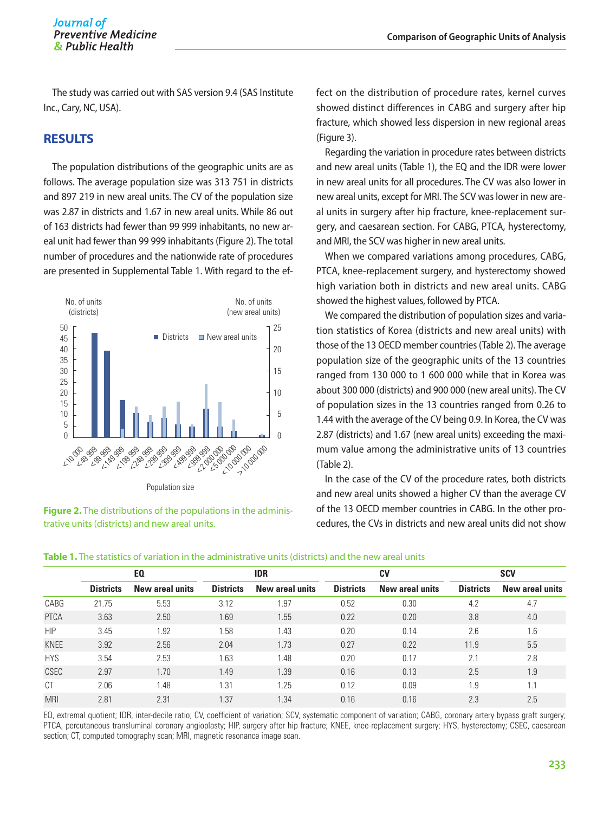The study was carried out with SAS version 9.4 (SAS Institute Inc., Cary, NC, USA).

# **RESULTS**

The population distributions of the geographic units are as follows. The average population size was 313 751 in districts and 897 219 in new areal units. The CV of the population size was 2.87 in districts and 1.67 in new areal units. While 86 out of 163 districts had fewer than 99 999 inhabitants, no new areal unit had fewer than 99 999 inhabitants (Figure 2). The total number of procedures and the nationwide rate of procedures are presented in Supplemental Table 1. With regard to the ef-



**Figure 2.** The distributions of the populations in the administrative units (districts) and new areal units.

fect on the distribution of procedure rates, kernel curves showed distinct differences in CABG and surgery after hip fracture, which showed less dispersion in new regional areas (Figure 3).

Regarding the variation in procedure rates between districts and new areal units (Table 1), the EQ and the IDR were lower in new areal units for all procedures. The CV was also lower in new areal units, except for MRI. The SCV was lower in new areal units in surgery after hip fracture, knee-replacement surgery, and caesarean section. For CABG, PTCA, hysterectomy, and MRI, the SCV was higher in new areal units.

When we compared variations among procedures, CABG, PTCA, knee-replacement surgery, and hysterectomy showed high variation both in districts and new areal units. CABG showed the highest values, followed by PTCA.

We compared the distribution of population sizes and variation statistics of Korea (districts and new areal units) with those of the 13 OECD member countries (Table 2). The average population size of the geographic units of the 13 countries ranged from 130 000 to 1 600 000 while that in Korea was about 300 000 (districts) and 900 000 (new areal units). The CV of population sizes in the 13 countries ranged from 0.26 to 1.44 with the average of the CV being 0.9. In Korea, the CV was 2.87 (districts) and 1.67 (new areal units) exceeding the maximum value among the administrative units of 13 countries (Table 2).

In the case of the CV of the procedure rates, both districts and new areal units showed a higher CV than the average CV of the 13 OECD member countries in CABG. In the other procedures, the CVs in districts and new areal units did not show

|             | EQ.              |                 | <b>IDR</b>       |                 |                  | <b>CV</b>              | <b>SCV</b>       |                        |  |
|-------------|------------------|-----------------|------------------|-----------------|------------------|------------------------|------------------|------------------------|--|
|             | <b>Districts</b> | New areal units | <b>Districts</b> | New areal units | <b>Districts</b> | <b>New areal units</b> | <b>Districts</b> | <b>New areal units</b> |  |
| CABG        | 21.75            | 5.53            | 3.12             | 1.97            | 0.52             | 0.30                   | 4.2              | 4.7                    |  |
| <b>PTCA</b> | 3.63             | 2.50            | 1.69             | 1.55            | 0.22             | 0.20                   | 3.8              | 4.0                    |  |
| <b>HIP</b>  | 3.45             | 1.92            | 1.58             | 1.43            | 0.20             | 0.14                   | 2.6              | 1.6                    |  |
| <b>KNEE</b> | 3.92             | 2.56            | 2.04             | 1.73            | 0.27             | 0.22                   | 11.9             | 5.5                    |  |
| <b>HYS</b>  | 3.54             | 2.53            | 1.63             | 1.48            | 0.20             | 0.17                   | 2.1              | 2.8                    |  |
| <b>CSEC</b> | 2.97             | 1.70            | 1.49             | 1.39            | 0.16             | 0.13                   | 2.5              | 1.9                    |  |
| СT          | 2.06             | 1.48            | 1.31             | 1.25            | 0.12             | 0.09                   | 1.9              | 1.1                    |  |
| <b>MRI</b>  | 2.81             | 2.31            | 1.37             | 1.34            | 0.16             | 0.16                   | 2.3              | 2.5                    |  |

**Table 1.** The statistics of variation in the administrative units (districts) and the new areal units

EQ, extremal quotient; IDR, inter-decile ratio; CV, coefficient of variation; SCV, systematic component of variation; CABG, coronary artery bypass graft surgery; PTCA, percutaneous transluminal coronary angioplasty; HIP, surgery after hip fracture; KNEE, knee-replacement surgery; HYS, hysterectomy; CSEC, caesarean section; CT, computed tomography scan; MRI, magnetic resonance image scan.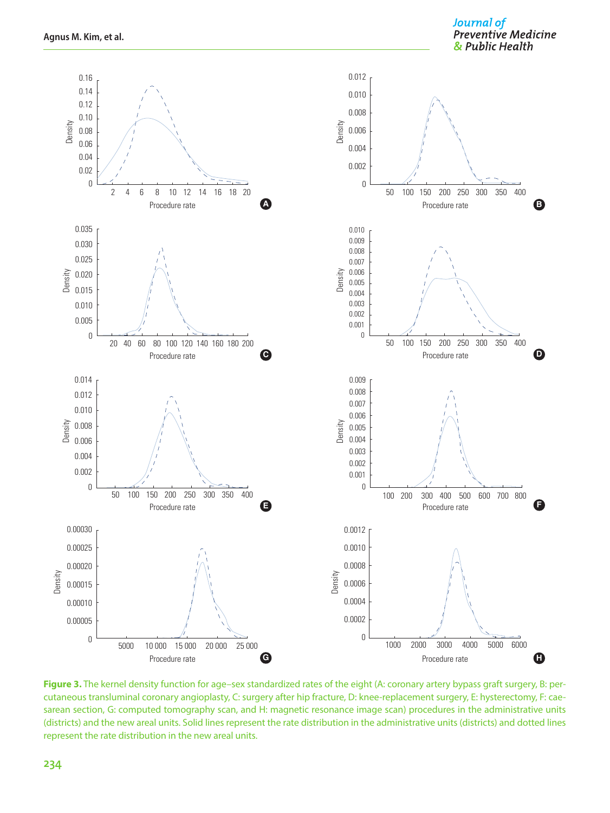Journal of **Preventive Medicine** & Public Health



**Figure 3.** The kernel density function for age–sex standardized rates of the eight (A: coronary artery bypass graft surgery, B: percutaneous transluminal coronary angioplasty, C: surgery after hip fracture, D: knee-replacement surgery, E: hysterectomy, F: caesarean section, G: computed tomography scan, and H: magnetic resonance image scan) procedures in the administrative units (districts) and the new areal units. Solid lines represent the rate distribution in the administrative units (districts) and dotted lines represent the rate distribution in the new areal units.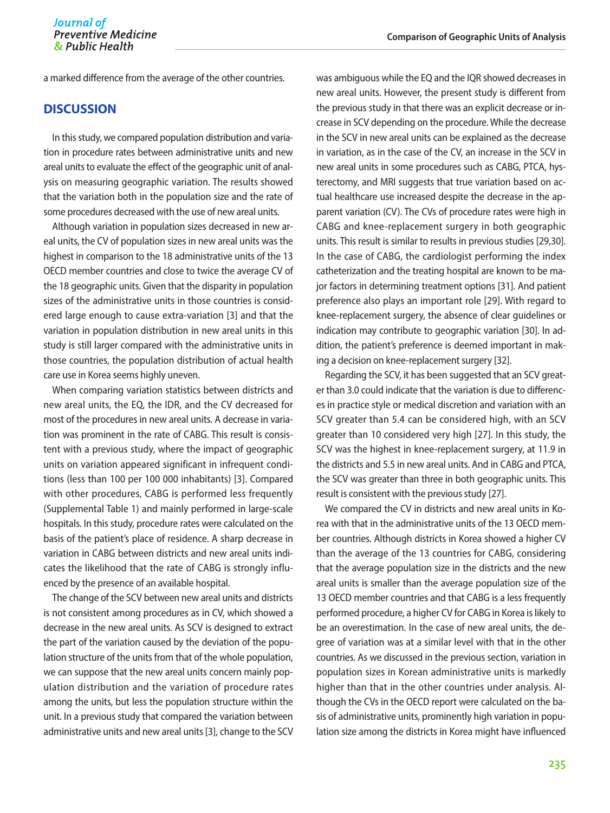**Comparison of Geographic Units of Analysis**

a marked difference from the average of the other countries.

#### **DISCUSSION**

In this study, we compared population distribution and variation in procedure rates between administrative units and new areal units to evaluate the effect of the geographic unit of analysis on measuring geographic variation. The results showed that the variation both in the population size and the rate of some procedures decreased with the use of new areal units.

Although variation in population sizes decreased in new areal units, the CV of population sizes in new areal units was the highest in comparison to the 18 administrative units of the 13 OECD member countries and close to twice the average CV of the 18 geographic units. Given that the disparity in population sizes of the administrative units in those countries is considered large enough to cause extra-variation [3] and that the variation in population distribution in new areal units in this study is still larger compared with the administrative units in those countries, the population distribution of actual health care use in Korea seems highly uneven.

When comparing variation statistics between districts and new areal units, the EQ, the IDR, and the CV decreased for most of the procedures in new areal units. A decrease in variation was prominent in the rate of CABG. This result is consistent with a previous study, where the impact of geographic units on variation appeared significant in infrequent conditions (less than 100 per 100 000 inhabitants) [3]. Compared with other procedures, CABG is performed less frequently (Supplemental Table 1) and mainly performed in large-scale hospitals. In this study, procedure rates were calculated on the basis of the patient's place of residence. A sharp decrease in variation in CABG between districts and new areal units indicates the likelihood that the rate of CABG is strongly influenced by the presence of an available hospital.

The change of the SCV between new areal units and districts is not consistent among procedures as in CV, which showed a decrease in the new areal units. As SCV is designed to extract the part of the variation caused by the deviation of the population structure of the units from that of the whole population, we can suppose that the new areal units concern mainly population distribution and the variation of procedure rates among the units, but less the population structure within the unit. In a previous study that compared the variation between administrative units and new areal units [3], change to the SCV

was ambiguous while the EQ and the IQR showed decreases in new areal units. However, the present study is different from the previous study in that there was an explicit decrease or increase in SCV depending on the procedure. While the decrease in the SCV in new areal units can be explained as the decrease in variation, as in the case of the CV, an increase in the SCV in new areal units in some procedures such as CABG, PTCA, hysterectomy, and MRI suggests that true variation based on actual healthcare use increased despite the decrease in the apparent variation (CV). The CVs of procedure rates were high in CABG and knee-replacement surgery in both geographic units. This result is similar to results in previous studies [29,30]. In the case of CABG, the cardiologist performing the index catheterization and the treating hospital are known to be major factors in determining treatment options [31]. And patient preference also plays an important role [29]. With regard to knee-replacement surgery, the absence of clear guidelines or indication may contribute to geographic variation [30]. In addition, the patient's preference is deemed important in making a decision on knee-replacement surgery [32].

Regarding the SCV, it has been suggested that an SCV greater than 3.0 could indicate that the variation is due to differences in practice style or medical discretion and variation with an SCV greater than 5.4 can be considered high, with an SCV greater than 10 considered very high [27]. In this study, the SCV was the highest in knee-replacement surgery, at 11.9 in the districts and 5.5 in new areal units. And in CABG and PTCA, the SCV was greater than three in both geographic units. This result is consistent with the previous study [27].

We compared the CV in districts and new areal units in Korea with that in the administrative units of the 13 OECD member countries. Although districts in Korea showed a higher CV than the average of the 13 countries for CABG, considering that the average population size in the districts and the new areal units is smaller than the average population size of the 13 OECD member countries and that CABG is a less frequently performed procedure, a higher CV for CABG in Korea is likely to be an overestimation. In the case of new areal units, the degree of variation was at a similar level with that in the other countries. As we discussed in the previous section, variation in population sizes in Korean administrative units is markedly higher than that in the other countries under analysis. Although the CVs in the OECD report were calculated on the basis of administrative units, prominently high variation in population size among the districts in Korea might have influenced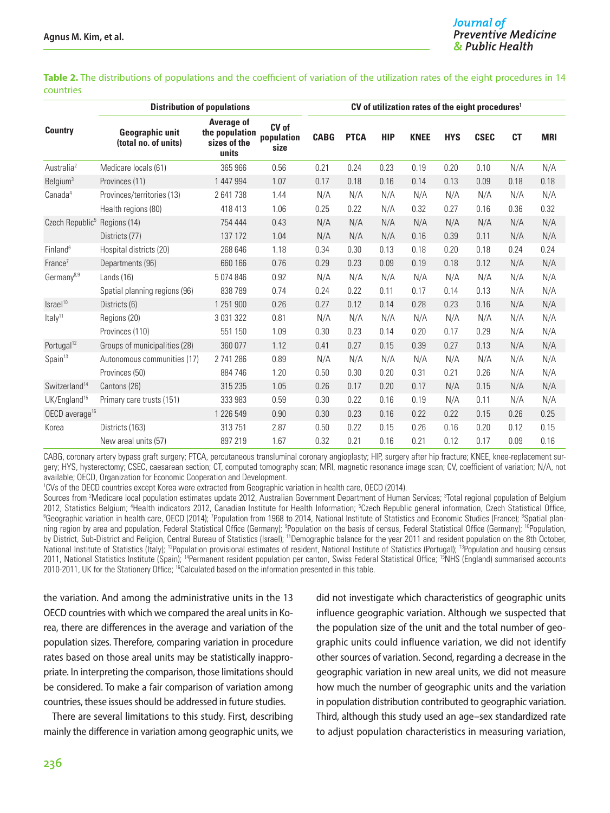**Table 2.** The distributions of populations and the coefficient of variation of the utilization rates of the eight procedures in 14 countries

|                                          | <b>Distribution of populations</b>             |                                                              |                             |             | CV of utilization rates of the eight procedures <sup>1</sup> |            |             |            |             |           |            |  |
|------------------------------------------|------------------------------------------------|--------------------------------------------------------------|-----------------------------|-------------|--------------------------------------------------------------|------------|-------------|------------|-------------|-----------|------------|--|
| <b>Country</b>                           | <b>Geographic unit</b><br>(total no. of units) | <b>Average of</b><br>the population<br>sizes of the<br>units | CV of<br>population<br>size | <b>CABG</b> | <b>PTCA</b>                                                  | <b>HIP</b> | <b>KNEE</b> | <b>HYS</b> | <b>CSEC</b> | <b>CT</b> | <b>MRI</b> |  |
| Australia <sup>2</sup>                   | Medicare locals (61)                           | 365 966                                                      | 0.56                        | 0.21        | 0.24                                                         | 0.23       | 0.19        | 0.20       | 0.10        | N/A       | N/A        |  |
| Belgium <sup>3</sup>                     | Provinces (11)                                 | 1 447 994                                                    | 1.07                        | 0.17        | 0.18                                                         | 0.16       | 0.14        | 0.13       | 0.09        | 0.18      | 0.18       |  |
| Canada <sup>4</sup>                      | Provinces/territories (13)                     | 2641738                                                      | 1.44                        | N/A         | N/A                                                          | N/A        | N/A         | N/A        | N/A         | N/A       | N/A        |  |
|                                          | Health regions (80)                            | 418 413                                                      | 1.06                        | 0.25        | 0.22                                                         | N/A        | 0.32        | 0.27       | 0.16        | 0.36      | 0.32       |  |
| Czech Republic <sup>5</sup> Regions (14) |                                                | 754 444                                                      | 0.43                        | N/A         | N/A                                                          | N/A        | N/A         | N/A        | N/A         | N/A       | N/A        |  |
|                                          | Districts (77)                                 | 137 172                                                      | 1.04                        | N/A         | N/A                                                          | N/A        | 0.16        | 0.39       | 0.11        | N/A       | N/A        |  |
| $Fin$ land $6$                           | Hospital districts (20)                        | 268 646                                                      | 1.18                        | 0.34        | 0.30                                                         | 0.13       | 0.18        | 0.20       | 0.18        | 0.24      | 0.24       |  |
| $France^7$                               | Departments (96)                               | 660 166                                                      | 0.76                        | 0.29        | 0.23                                                         | 0.09       | 0.19        | 0.18       | 0.12        | N/A       | N/A        |  |
| Germany <sup>8,9</sup>                   | Lands $(16)$                                   | 5074846                                                      | 0.92                        | N/A         | N/A                                                          | N/A        | N/A         | N/A        | N/A         | N/A       | N/A        |  |
|                                          | Spatial planning regions (96)                  | 838789                                                       | 0.74                        | 0.24        | 0.22                                                         | 0.11       | 0.17        | 0.14       | 0.13        | N/A       | N/A        |  |
| Israel <sup>10</sup>                     | Districts (6)                                  | 1 251 900                                                    | 0.26                        | 0.27        | 0.12                                                         | 0.14       | 0.28        | 0.23       | 0.16        | N/A       | N/A        |  |
| Italy <sup>11</sup>                      | Regions (20)                                   | 3 0 3 1 3 2 2                                                | 0.81                        | N/A         | N/A                                                          | N/A        | N/A         | N/A        | N/A         | N/A       | N/A        |  |
|                                          | Provinces (110)                                | 551 150                                                      | 1.09                        | 0.30        | 0.23                                                         | 0.14       | 0.20        | 0.17       | 0.29        | N/A       | N/A        |  |
| Portugal <sup>12</sup>                   | Groups of municipalities (28)                  | 360 077                                                      | 1.12                        | 0.41        | 0.27                                                         | 0.15       | 0.39        | 0.27       | 0.13        | N/A       | N/A        |  |
| Spin <sup>13</sup>                       | Autonomous communities (17)                    | 2 741 286                                                    | 0.89                        | N/A         | N/A                                                          | N/A        | N/A         | N/A        | N/A         | N/A       | N/A        |  |
|                                          | Provinces (50)                                 | 884 746                                                      | 1.20                        | 0.50        | 0.30                                                         | 0.20       | 0.31        | 0.21       | 0.26        | N/A       | N/A        |  |
| Switzerland <sup>14</sup>                | Cantons (26)                                   | 315 235                                                      | 1.05                        | 0.26        | 0.17                                                         | 0.20       | 0.17        | N/A        | 0.15        | N/A       | N/A        |  |
| UK/England <sup>15</sup>                 | Primary care trusts (151)                      | 333 983                                                      | 0.59                        | 0.30        | 0.22                                                         | 0.16       | 0.19        | N/A        | 0.11        | N/A       | N/A        |  |
| $OECD$ average <sup>16</sup>             |                                                | 1 226 549                                                    | 0.90                        | 0.30        | 0.23                                                         | 0.16       | 0.22        | 0.22       | 0.15        | 0.26      | 0.25       |  |
| Korea                                    | Districts (163)                                | 313751                                                       | 2.87                        | 0.50        | 0.22                                                         | 0.15       | 0.26        | 0.16       | 0.20        | 0.12      | 0.15       |  |
|                                          | New areal units (57)                           | 897 219                                                      | 1.67                        | 0.32        | 0.21                                                         | 0.16       | 0.21        | 0.12       | 0.17        | 0.09      | 0.16       |  |

CABG, coronary artery bypass graft surgery; PTCA, percutaneous transluminal coronary angioplasty; HIP, surgery after hip fracture; KNEE, knee-replacement surgery; HYS, hysterectomy; CSEC, caesarean section; CT, computed tomography scan; MRI, magnetic resonance image scan; CV, coefficient of variation; N/A, not available; OECD, Organization for Economic Cooperation and Development.

1 CVs of the OECD countries except Korea were extracted from Geographic variation in health care, OECD (2014).

Sources from <sup>2</sup>Medicare local population estimates update 2012, Australian Government Department of Human Services; <sup>3</sup>Total regional population of Belgium 2012, Statistics Belgium; <sup>4</sup>Health indicators 2012, Canadian Institute for Health Information; <sup>5</sup>Czech Republic general information, Czech Statistical Office,<br><sup>6</sup>Geographic variation in bealth care. OECD (2014): <sup>7</sup>Popul Geographic variation in health care, OECD (2014); <sup>7</sup>Population from 1968 to 2014, National Institute of Statistics and Economic Studies (France); <sup>8</sup>Spatial planning region by area and population, Federal Statistical Office (Germany); <sup>9</sup>Population on the basis of census, Federal Statistical Office (Germany); <sup>10</sup>Population, by District, Sub-District and Religion, Central Bureau of Statistics (Israel); <sup>11</sup>Demographic balance for the year 2011 and resident population on the 8th October, National Institute of Statistics (Italy); <sup>12</sup>Population provisional estimates of resident, National Institute of Statistics (Portugal); <sup>13</sup>Population and housing census 2011, National Statistics Institute (Spain); <sup>14</sup>Permanent resident population per canton, Swiss Federal Statistical Office; <sup>15</sup>NHS (England) summarised accounts 2010-2011, UK for the Stationery Office; <sup>16</sup>Calculated based on the information presented in this table.

the variation. And among the administrative units in the 13 OECD countries with which we compared the areal units in Korea, there are differences in the average and variation of the population sizes. Therefore, comparing variation in procedure rates based on those areal units may be statistically inappropriate. In interpreting the comparison, those limitations should be considered. To make a fair comparison of variation among countries, these issues should be addressed in future studies.

There are several limitations to this study. First, describing mainly the difference in variation among geographic units, we

did not investigate which characteristics of geographic units influence geographic variation. Although we suspected that the population size of the unit and the total number of geographic units could influence variation, we did not identify other sources of variation. Second, regarding a decrease in the geographic variation in new areal units, we did not measure how much the number of geographic units and the variation in population distribution contributed to geographic variation. Third, although this study used an age–sex standardized rate to adjust population characteristics in measuring variation,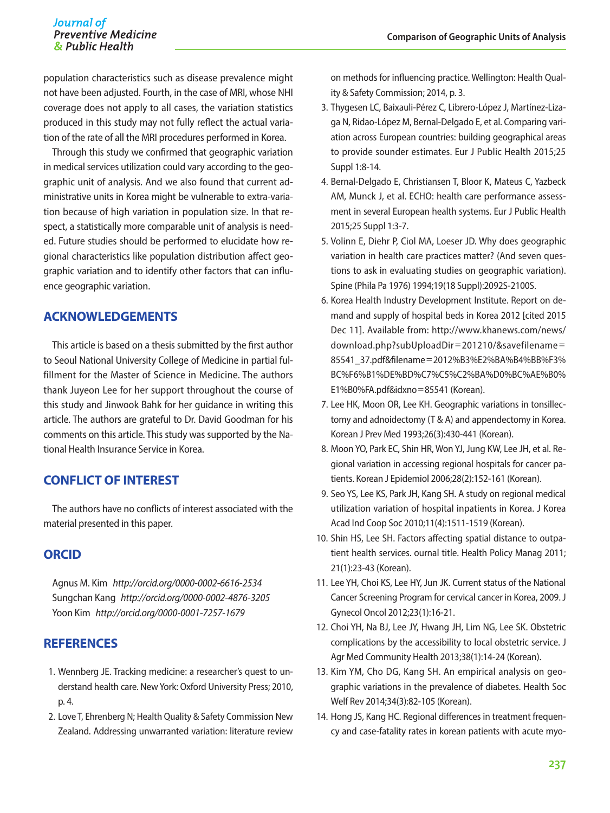#### Journal of **Preventive Medicine** & Public Health

population characteristics such as disease prevalence might not have been adjusted. Fourth, in the case of MRI, whose NHI coverage does not apply to all cases, the variation statistics produced in this study may not fully reflect the actual variation of the rate of all the MRI procedures performed in Korea.

Through this study we confirmed that geographic variation in medical services utilization could vary according to the geographic unit of analysis. And we also found that current administrative units in Korea might be vulnerable to extra-variation because of high variation in population size. In that respect, a statistically more comparable unit of analysis is needed. Future studies should be performed to elucidate how regional characteristics like population distribution affect geographic variation and to identify other factors that can influence geographic variation.

# **ACKNOWLEDGEMENTS**

This article is based on a thesis submitted by the first author to Seoul National University College of Medicine in partial fulfillment for the Master of Science in Medicine. The authors thank Juyeon Lee for her support throughout the course of this study and Jinwook Bahk for her guidance in writing this article. The authors are grateful to Dr. David Goodman for his comments on this article. This study was supported by the National Health Insurance Service in Korea.

# **CONFLICT OF INTEREST**

The authors have no conflicts of interest associated with the material presented in this paper.

## **ORCID**

Agnus M. Kim *http://orcid.org/0000-0002-6616-2534* Sungchan Kang *http://orcid.org/0000-0002-4876-3205* Yoon Kim *http://orcid.org/0000-0001-7257-1679*

## **REFERENCES**

- 1. Wennberg JE. Tracking medicine: a researcher's quest to understand health care. New York: Oxford University Press; 2010, p. 4.
- 2. Love T, Ehrenberg N; Health Quality & Safety Commission New Zealand. Addressing unwarranted variation: literature review

on methods for influencing practice. Wellington: Health Quality & Safety Commission; 2014, p. 3.

- 3. Thygesen LC, Baixauli-Pérez C, Librero-López J, Martínez-Lizaga N, Ridao-López M, Bernal-Delgado E, et al. Comparing variation across European countries: building geographical areas to provide sounder estimates. Eur J Public Health 2015;25 Suppl 1:8-14.
- 4. Bernal-Delgado E, Christiansen T, Bloor K, Mateus C, Yazbeck AM, Munck J, et al. ECHO: health care performance assessment in several European health systems. Eur J Public Health 2015;25 Suppl 1:3-7.
- 5. Volinn E, Diehr P, Ciol MA, Loeser JD. Why does geographic variation in health care practices matter? (And seven questions to ask in evaluating studies on geographic variation). Spine (Phila Pa 1976) 1994;19(18 Suppl):2092S-2100S.
- 6. Korea Health Industry Development Institute. Report on demand and supply of hospital beds in Korea 2012 [cited 2015 Dec 11]. Available from: http://www.khanews.com/news/ download.php?subUploadDir=201210/&savefilename= 85541\_37.pdf&filename=2012%B3%E2%BA%B4%BB%F3% BC%F6%B1%DE%BD%C7%C5%C2%BA%D0%BC%AE%B0% E1%B0%FA.pdf&idxno=85541 (Korean).
- 7. Lee HK, Moon OR, Lee KH. Geographic variations in tonsillectomy and adnoidectomy (T & A) and appendectomy in Korea. Korean J Prev Med 1993;26(3):430-441 (Korean).
- 8. Moon YO, Park EC, Shin HR, Won YJ, Jung KW, Lee JH, et al. Regional variation in accessing regional hospitals for cancer patients. Korean J Epidemiol 2006;28(2):152-161 (Korean).
- 9. Seo YS, Lee KS, Park JH, Kang SH. A study on regional medical utilization variation of hospital inpatients in Korea. J Korea Acad Ind Coop Soc 2010;11(4):1511-1519 (Korean).
- 10. Shin HS, Lee SH. Factors affecting spatial distance to outpatient health services. ournal title. Health Policy Manag 2011; 21(1):23-43 (Korean).
- 11. Lee YH, Choi KS, Lee HY, Jun JK. Current status of the National Cancer Screening Program for cervical cancer in Korea, 2009. J Gynecol Oncol 2012;23(1):16-21.
- 12. Choi YH, Na BJ, Lee JY, Hwang JH, Lim NG, Lee SK. Obstetric complications by the accessibility to local obstetric service. J Agr Med Community Health 2013;38(1):14-24 (Korean).
- 13. Kim YM, Cho DG, Kang SH. An empirical analysis on geographic variations in the prevalence of diabetes. Health Soc Welf Rev 2014;34(3):82-105 (Korean).
- 14. Hong JS, Kang HC. Regional differences in treatment frequency and case-fatality rates in korean patients with acute myo-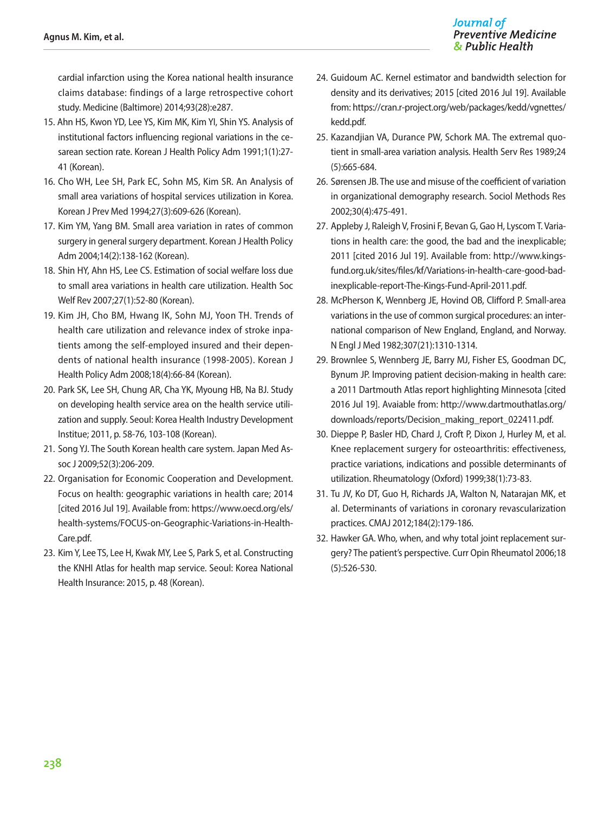cardial infarction using the Korea national health insurance claims database: findings of a large retrospective cohort study. Medicine (Baltimore) 2014;93(28):e287.

- 15. Ahn HS, Kwon YD, Lee YS, Kim MK, Kim YI, Shin YS. Analysis of institutional factors influencing regional variations in the cesarean section rate. Korean J Health Policy Adm 1991;1(1):27- 41 (Korean).
- 16. Cho WH, Lee SH, Park EC, Sohn MS, Kim SR. An Analysis of small area variations of hospital services utilization in Korea. Korean J Prev Med 1994;27(3):609-626 (Korean).
- 17. Kim YM, Yang BM. Small area variation in rates of common surgery in general surgery department. Korean J Health Policy Adm 2004;14(2):138-162 (Korean).
- 18. Shin HY, Ahn HS, Lee CS. Estimation of social welfare loss due to small area variations in health care utilization. Health Soc Welf Rev 2007;27(1):52-80 (Korean).
- 19. Kim JH, Cho BM, Hwang IK, Sohn MJ, Yoon TH. Trends of health care utilization and relevance index of stroke inpatients among the self-employed insured and their dependents of national health insurance (1998-2005). Korean J Health Policy Adm 2008;18(4):66-84 (Korean).
- 20. Park SK, Lee SH, Chung AR, Cha YK, Myoung HB, Na BJ. Study on developing health service area on the health service utilization and supply. Seoul: Korea Health Industry Development Institue; 2011, p. 58-76, 103-108 (Korean).
- 21. Song YJ. The South Korean health care system. Japan Med Assoc J 2009;52(3):206-209.
- 22. Organisation for Economic Cooperation and Development. Focus on health: geographic variations in health care; 2014 [cited 2016 Jul 19]. Available from: https://www.oecd.org/els/ health-systems/FOCUS-on-Geographic-Variations-in-Health-Care.pdf.
- 23. Kim Y, Lee TS, Lee H, Kwak MY, Lee S, Park S, et al. Constructing the KNHI Atlas for health map service. Seoul: Korea National Health Insurance: 2015, p. 48 (Korean).
- 24. Guidoum AC. Kernel estimator and bandwidth selection for density and its derivatives; 2015 [cited 2016 Jul 19]. Available from: https://cran.r-project.org/web/packages/kedd/vgnettes/ kedd.pdf.
- 25. Kazandjian VA, Durance PW, Schork MA. The extremal quotient in small-area variation analysis. Health Serv Res 1989;24 (5):665-684.
- 26. Sørensen JB. The use and misuse of the coefficient of variation in organizational demography research. Sociol Methods Res 2002;30(4):475-491.
- 27. Appleby J, Raleigh V, Frosini F, Bevan G, Gao H, Lyscom T. Variations in health care: the good, the bad and the inexplicable; 2011 [cited 2016 Jul 19]. Available from: http://www.kingsfund.org.uk/sites/files/kf/Variations-in-health-care-good-badinexplicable-report-The-Kings-Fund-April-2011.pdf.
- 28. McPherson K, Wennberg JE, Hovind OB, Clifford P. Small-area variations in the use of common surgical procedures: an international comparison of New England, England, and Norway. N Engl J Med 1982;307(21):1310-1314.
- 29. Brownlee S, Wennberg JE, Barry MJ, Fisher ES, Goodman DC, Bynum JP. Improving patient decision-making in health care: a 2011 Dartmouth Atlas report highlighting Minnesota [cited 2016 Jul 19]. Avaiable from: [http://www.dartmouthatlas.org/](http://www.dartmouthatlas.org/downloads/reports/Decision_making_report_022411.pdf.) [downloads/reports/Decision\\_making\\_report\\_022411.pdf.](http://www.dartmouthatlas.org/downloads/reports/Decision_making_report_022411.pdf.)
- 30. Dieppe P, Basler HD, Chard J, Croft P, Dixon J, Hurley M, et al. Knee replacement surgery for osteoarthritis: effectiveness, practice variations, indications and possible determinants of utilization. Rheumatology (Oxford) 1999;38(1):73-83.
- 31. Tu JV, Ko DT, Guo H, Richards JA, Walton N, Natarajan MK, et al. Determinants of variations in coronary revascularization practices. CMAJ 2012;184(2):179-186.
- 32. Hawker GA. Who, when, and why total joint replacement surgery? The patient's perspective. Curr Opin Rheumatol 2006;18 (5):526-530.